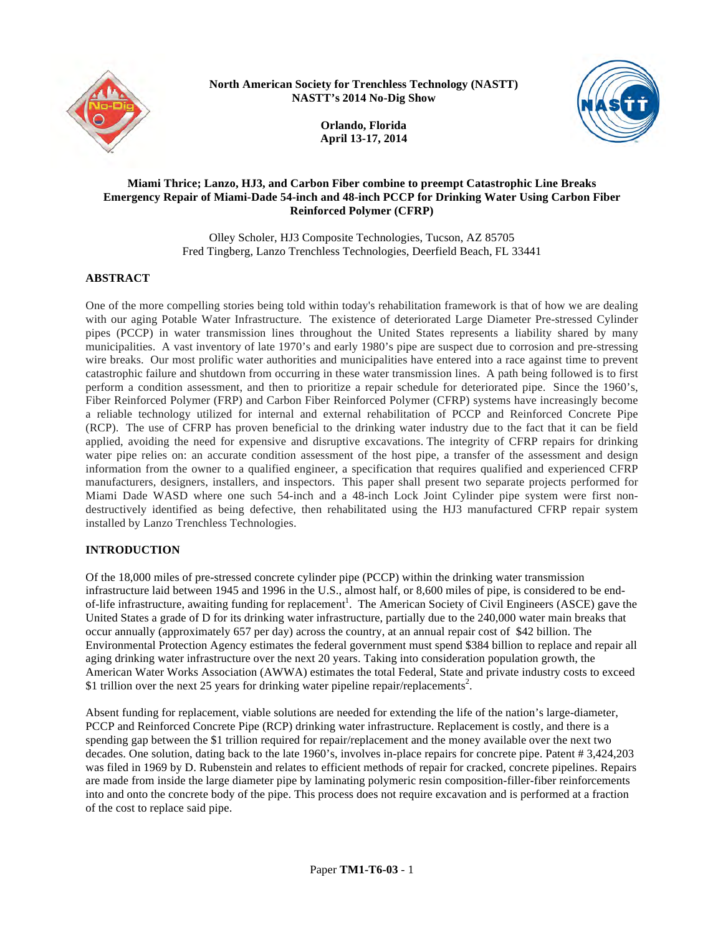

**North American Society for Trenchless Technology (NASTT) NASTT's 2014 No-Dig Show**



**Orlando, Florida April 13-17, 2014**

#### **Miami Thrice; Lanzo, HJ3, and Carbon Fiber combine to preempt Catastrophic Line Breaks Emergency Repair of Miami-Dade 54-inch and 48-inch PCCP for Drinking Water Using Carbon Fiber Reinforced Polymer (CFRP)**

Olley Scholer, HJ3 Composite Technologies, Tucson, AZ 85705 Fred Tingberg, Lanzo Trenchless Technologies, Deerfield Beach, FL 33441

## **ABSTRACT**

One of the more compelling stories being told within today's rehabilitation framework is that of how we are dealing with our aging Potable Water Infrastructure. The existence of deteriorated Large Diameter Pre-stressed Cylinder pipes (PCCP) in water transmission lines throughout the United States represents a liability shared by many municipalities. A vast inventory of late 1970's and early 1980's pipe are suspect due to corrosion and pre-stressing wire breaks. Our most prolific water authorities and municipalities have entered into a race against time to prevent catastrophic failure and shutdown from occurring in these water transmission lines. A path being followed is to first perform a condition assessment, and then to prioritize a repair schedule for deteriorated pipe. Since the 1960's, Fiber Reinforced Polymer (FRP) and Carbon Fiber Reinforced Polymer (CFRP) systems have increasingly become a reliable technology utilized for internal and external rehabilitation of PCCP and Reinforced Concrete Pipe (RCP). The use of CFRP has proven beneficial to the drinking water industry due to the fact that it can be field applied, avoiding the need for expensive and disruptive excavations. The integrity of CFRP repairs for drinking water pipe relies on: an accurate condition assessment of the host pipe, a transfer of the assessment and design information from the owner to a qualified engineer, a specification that requires qualified and experienced CFRP manufacturers, designers, installers, and inspectors. This paper shall present two separate projects performed for Miami Dade WASD where one such 54-inch and a 48-inch Lock Joint Cylinder pipe system were first nondestructively identified as being defective, then rehabilitated using the HJ3 manufactured CFRP repair system installed by Lanzo Trenchless Technologies.

# **INTRODUCTION**

Of the 18,000 miles of pre-stressed concrete cylinder pipe (PCCP) within the drinking water transmission infrastructure laid between 1945 and 1996 in the U.S., almost half, or 8,600 miles of pipe, is considered to be endof-life infrastructure, awaiting funding for replacement<sup>1</sup>. The American Society of Civil Engineers (ASCE) gave the United States a grade of D for its drinking water infrastructure, partially due to the 240,000 water main breaks that occur annually (approximately 657 per day) across the country, at an annual repair cost of \$42 billion. The Environmental Protection Agency estimates the federal government must spend \$384 billion to replace and repair all aging drinking water infrastructure over the next 20 years. Taking into consideration population growth, the American Water Works Association (AWWA) estimates the total Federal, State and private industry costs to exceed \$1 trillion over the next 25 years for drinking water pipeline repair/replacements<sup>2</sup>.

Absent funding for replacement, viable solutions are needed for extending the life of the nation's large-diameter, PCCP and Reinforced Concrete Pipe (RCP) drinking water infrastructure. Replacement is costly, and there is a spending gap between the \$1 trillion required for repair/replacement and the money available over the next two decades. One solution, dating back to the late 1960's, involves in-place repairs for concrete pipe. Patent # 3,424,203 was filed in 1969 by D. Rubenstein and relates to efficient methods of repair for cracked, concrete pipelines. Repairs are made from inside the large diameter pipe by laminating polymeric resin composition-filler-fiber reinforcements into and onto the concrete body of the pipe. This process does not require excavation and is performed at a fraction of the cost to replace said pipe.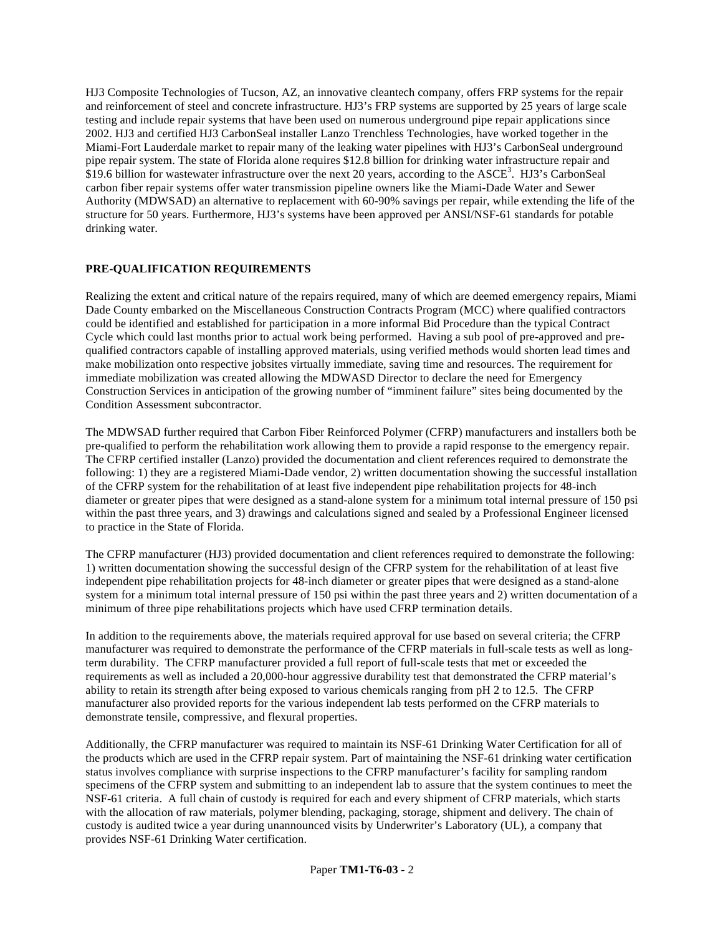HJ3 Composite Technologies of Tucson, AZ, an innovative cleantech company, offers FRP systems for the repair and reinforcement of steel and concrete infrastructure. HJ3's FRP systems are supported by 25 years of large scale testing and include repair systems that have been used on numerous underground pipe repair applications since 2002. HJ3 and certified HJ3 CarbonSeal installer Lanzo Trenchless Technologies, have worked together in the Miami-Fort Lauderdale market to repair many of the leaking water pipelines with HJ3's CarbonSeal underground pipe repair system. The state of Florida alone requires \$12.8 billion for drinking water infrastructure repair and \$19.6 billion for wastewater infrastructure over the next 20 years, according to the ASCE<sup>3</sup>. HJ3's CarbonSeal carbon fiber repair systems offer water transmission pipeline owners like the Miami-Dade Water and Sewer Authority (MDWSAD) an alternative to replacement with 60-90% savings per repair, while extending the life of the structure for 50 years. Furthermore, HJ3's systems have been approved per ANSI/NSF-61 standards for potable drinking water.

## **PRE-QUALIFICATION REQUIREMENTS**

Realizing the extent and critical nature of the repairs required, many of which are deemed emergency repairs, Miami Dade County embarked on the Miscellaneous Construction Contracts Program (MCC) where qualified contractors could be identified and established for participation in a more informal Bid Procedure than the typical Contract Cycle which could last months prior to actual work being performed. Having a sub pool of pre-approved and prequalified contractors capable of installing approved materials, using verified methods would shorten lead times and make mobilization onto respective jobsites virtually immediate, saving time and resources. The requirement for immediate mobilization was created allowing the MDWASD Director to declare the need for Emergency Construction Services in anticipation of the growing number of "imminent failure" sites being documented by the Condition Assessment subcontractor.

The MDWSAD further required that Carbon Fiber Reinforced Polymer (CFRP) manufacturers and installers both be pre-qualified to perform the rehabilitation work allowing them to provide a rapid response to the emergency repair. The CFRP certified installer (Lanzo) provided the documentation and client references required to demonstrate the following: 1) they are a registered Miami-Dade vendor, 2) written documentation showing the successful installation of the CFRP system for the rehabilitation of at least five independent pipe rehabilitation projects for 48-inch diameter or greater pipes that were designed as a stand-alone system for a minimum total internal pressure of 150 psi within the past three years, and 3) drawings and calculations signed and sealed by a Professional Engineer licensed to practice in the State of Florida.

The CFRP manufacturer (HJ3) provided documentation and client references required to demonstrate the following: 1) written documentation showing the successful design of the CFRP system for the rehabilitation of at least five independent pipe rehabilitation projects for 48-inch diameter or greater pipes that were designed as a stand-alone system for a minimum total internal pressure of 150 psi within the past three years and 2) written documentation of a minimum of three pipe rehabilitations projects which have used CFRP termination details.

In addition to the requirements above, the materials required approval for use based on several criteria; the CFRP manufacturer was required to demonstrate the performance of the CFRP materials in full-scale tests as well as longterm durability. The CFRP manufacturer provided a full report of full-scale tests that met or exceeded the requirements as well as included a 20,000-hour aggressive durability test that demonstrated the CFRP material's ability to retain its strength after being exposed to various chemicals ranging from pH 2 to 12.5. The CFRP manufacturer also provided reports for the various independent lab tests performed on the CFRP materials to demonstrate tensile, compressive, and flexural properties.

Additionally, the CFRP manufacturer was required to maintain its NSF-61 Drinking Water Certification for all of the products which are used in the CFRP repair system. Part of maintaining the NSF-61 drinking water certification status involves compliance with surprise inspections to the CFRP manufacturer's facility for sampling random specimens of the CFRP system and submitting to an independent lab to assure that the system continues to meet the NSF-61 criteria. A full chain of custody is required for each and every shipment of CFRP materials, which starts with the allocation of raw materials, polymer blending, packaging, storage, shipment and delivery. The chain of custody is audited twice a year during unannounced visits by Underwriter's Laboratory (UL), a company that provides NSF-61 Drinking Water certification.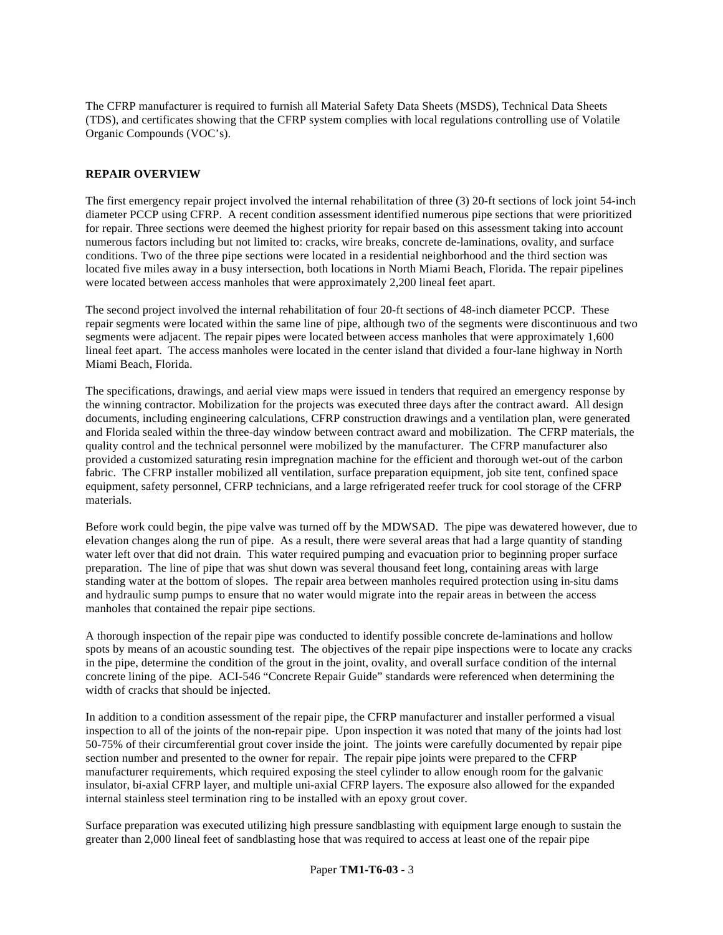The CFRP manufacturer is required to furnish all Material Safety Data Sheets (MSDS), Technical Data Sheets (TDS), and certificates showing that the CFRP system complies with local regulations controlling use of Volatile Organic Compounds (VOC's).

### **REPAIR OVERVIEW**

The first emergency repair project involved the internal rehabilitation of three (3) 20-ft sections of lock joint 54-inch diameter PCCP using CFRP. A recent condition assessment identified numerous pipe sections that were prioritized for repair. Three sections were deemed the highest priority for repair based on this assessment taking into account numerous factors including but not limited to: cracks, wire breaks, concrete de-laminations, ovality, and surface conditions. Two of the three pipe sections were located in a residential neighborhood and the third section was located five miles away in a busy intersection, both locations in North Miami Beach, Florida. The repair pipelines were located between access manholes that were approximately 2,200 lineal feet apart.

The second project involved the internal rehabilitation of four 20-ft sections of 48-inch diameter PCCP. These repair segments were located within the same line of pipe, although two of the segments were discontinuous and two segments were adjacent. The repair pipes were located between access manholes that were approximately 1,600 lineal feet apart. The access manholes were located in the center island that divided a four-lane highway in North Miami Beach, Florida.

The specifications, drawings, and aerial view maps were issued in tenders that required an emergency response by the winning contractor. Mobilization for the projects was executed three days after the contract award. All design documents, including engineering calculations, CFRP construction drawings and a ventilation plan, were generated and Florida sealed within the three-day window between contract award and mobilization. The CFRP materials, the quality control and the technical personnel were mobilized by the manufacturer. The CFRP manufacturer also provided a customized saturating resin impregnation machine for the efficient and thorough wet-out of the carbon fabric. The CFRP installer mobilized all ventilation, surface preparation equipment, job site tent, confined space equipment, safety personnel, CFRP technicians, and a large refrigerated reefer truck for cool storage of the CFRP materials.

Before work could begin, the pipe valve was turned off by the MDWSAD. The pipe was dewatered however, due to elevation changes along the run of pipe. As a result, there were several areas that had a large quantity of standing water left over that did not drain. This water required pumping and evacuation prior to beginning proper surface preparation. The line of pipe that was shut down was several thousand feet long, containing areas with large standing water at the bottom of slopes. The repair area between manholes required protection using in-situ dams and hydraulic sump pumps to ensure that no water would migrate into the repair areas in between the access manholes that contained the repair pipe sections.

A thorough inspection of the repair pipe was conducted to identify possible concrete de-laminations and hollow spots by means of an acoustic sounding test. The objectives of the repair pipe inspections were to locate any cracks in the pipe, determine the condition of the grout in the joint, ovality, and overall surface condition of the internal concrete lining of the pipe. ACI-546 "Concrete Repair Guide" standards were referenced when determining the width of cracks that should be injected.

In addition to a condition assessment of the repair pipe, the CFRP manufacturer and installer performed a visual inspection to all of the joints of the non-repair pipe. Upon inspection it was noted that many of the joints had lost 50-75% of their circumferential grout cover inside the joint. The joints were carefully documented by repair pipe section number and presented to the owner for repair. The repair pipe joints were prepared to the CFRP manufacturer requirements, which required exposing the steel cylinder to allow enough room for the galvanic insulator, bi-axial CFRP layer, and multiple uni-axial CFRP layers. The exposure also allowed for the expanded internal stainless steel termination ring to be installed with an epoxy grout cover.

Surface preparation was executed utilizing high pressure sandblasting with equipment large enough to sustain the greater than 2,000 lineal feet of sandblasting hose that was required to access at least one of the repair pipe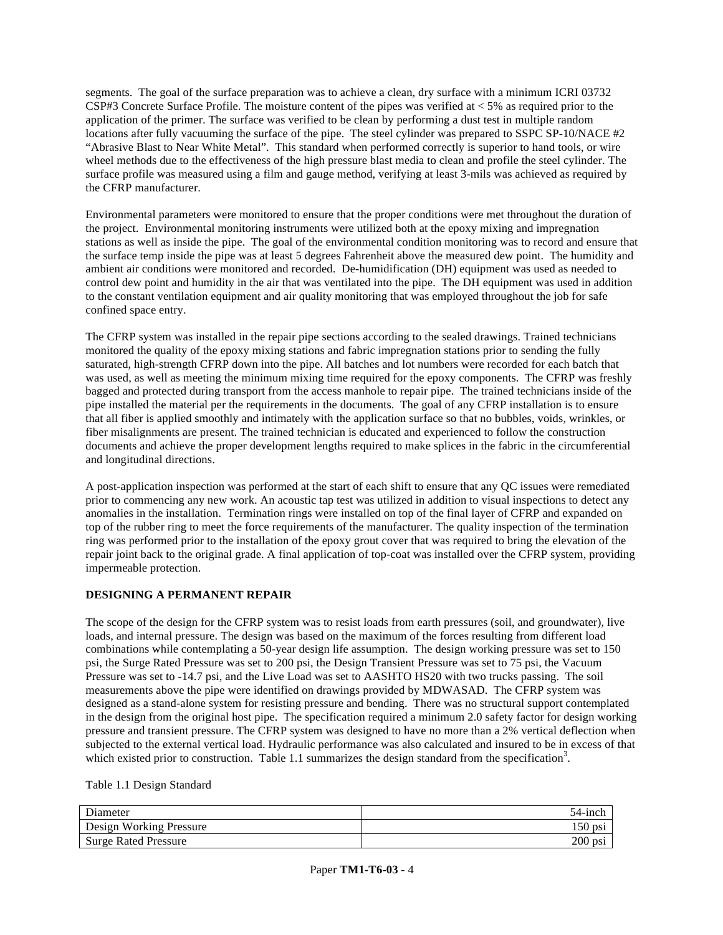segments. The goal of the surface preparation was to achieve a clean, dry surface with a minimum ICRI 03732 CSP#3 Concrete Surface Profile. The moisture content of the pipes was verified at < 5% as required prior to the application of the primer. The surface was verified to be clean by performing a dust test in multiple random locations after fully vacuuming the surface of the pipe. The steel cylinder was prepared to SSPC SP-10/NACE #2 "Abrasive Blast to Near White Metal". This standard when performed correctly is superior to hand tools, or wire wheel methods due to the effectiveness of the high pressure blast media to clean and profile the steel cylinder. The surface profile was measured using a film and gauge method, verifying at least 3-mils was achieved as required by the CFRP manufacturer.

Environmental parameters were monitored to ensure that the proper conditions were met throughout the duration of the project. Environmental monitoring instruments were utilized both at the epoxy mixing and impregnation stations as well as inside the pipe. The goal of the environmental condition monitoring was to record and ensure that the surface temp inside the pipe was at least 5 degrees Fahrenheit above the measured dew point. The humidity and ambient air conditions were monitored and recorded. De-humidification (DH) equipment was used as needed to control dew point and humidity in the air that was ventilated into the pipe. The DH equipment was used in addition to the constant ventilation equipment and air quality monitoring that was employed throughout the job for safe confined space entry.

The CFRP system was installed in the repair pipe sections according to the sealed drawings. Trained technicians monitored the quality of the epoxy mixing stations and fabric impregnation stations prior to sending the fully saturated, high-strength CFRP down into the pipe. All batches and lot numbers were recorded for each batch that was used, as well as meeting the minimum mixing time required for the epoxy components. The CFRP was freshly bagged and protected during transport from the access manhole to repair pipe. The trained technicians inside of the pipe installed the material per the requirements in the documents. The goal of any CFRP installation is to ensure that all fiber is applied smoothly and intimately with the application surface so that no bubbles, voids, wrinkles, or fiber misalignments are present. The trained technician is educated and experienced to follow the construction documents and achieve the proper development lengths required to make splices in the fabric in the circumferential and longitudinal directions.

A post-application inspection was performed at the start of each shift to ensure that any QC issues were remediated prior to commencing any new work. An acoustic tap test was utilized in addition to visual inspections to detect any anomalies in the installation. Termination rings were installed on top of the final layer of CFRP and expanded on top of the rubber ring to meet the force requirements of the manufacturer. The quality inspection of the termination ring was performed prior to the installation of the epoxy grout cover that was required to bring the elevation of the repair joint back to the original grade. A final application of top-coat was installed over the CFRP system, providing impermeable protection.

# **DESIGNING A PERMANENT REPAIR**

The scope of the design for the CFRP system was to resist loads from earth pressures (soil, and groundwater), live loads, and internal pressure. The design was based on the maximum of the forces resulting from different load combinations while contemplating a 50-year design life assumption. The design working pressure was set to 150 psi, the Surge Rated Pressure was set to 200 psi, the Design Transient Pressure was set to 75 psi, the Vacuum Pressure was set to -14.7 psi, and the Live Load was set to AASHTO HS20 with two trucks passing. The soil measurements above the pipe were identified on drawings provided by MDWASAD. The CFRP system was designed as a stand-alone system for resisting pressure and bending. There was no structural support contemplated in the design from the original host pipe. The specification required a minimum 2.0 safety factor for design working pressure and transient pressure. The CFRP system was designed to have no more than a 2% vertical deflection when subjected to the external vertical load. Hydraulic performance was also calculated and insured to be in excess of that which existed prior to construction. Table 1.1 summarizes the design standard from the specification<sup>3</sup>.

Table 1.1 Design Standard

| Diameter                    | 54-incl |
|-----------------------------|---------|
| Design Working Pressure     | 150 psi |
| <b>Surge Rated Pressure</b> | 200 psi |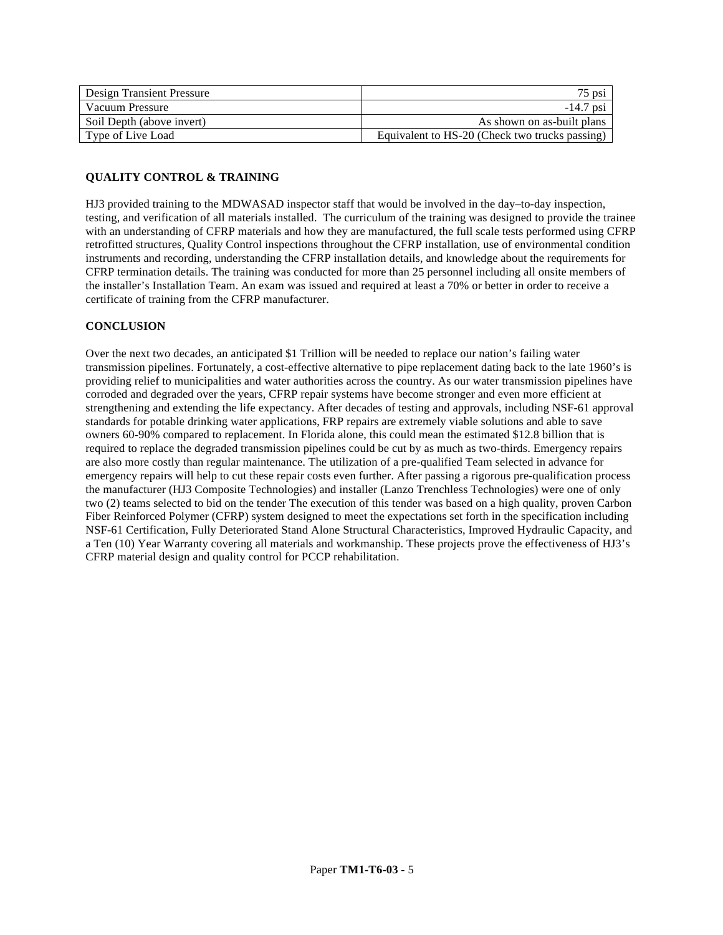| <b>Design Transient Pressure</b> | 75 psi                                         |
|----------------------------------|------------------------------------------------|
| Vacuum Pressure                  | $-14.7$ psi                                    |
| Soil Depth (above invert)        | As shown on as-built plans                     |
| Type of Live Load                | Equivalent to HS-20 (Check two trucks passing) |

# **QUALITY CONTROL & TRAINING**

HJ3 provided training to the MDWASAD inspector staff that would be involved in the day–to-day inspection, testing, and verification of all materials installed. The curriculum of the training was designed to provide the trainee with an understanding of CFRP materials and how they are manufactured, the full scale tests performed using CFRP retrofitted structures, Quality Control inspections throughout the CFRP installation, use of environmental condition instruments and recording, understanding the CFRP installation details, and knowledge about the requirements for CFRP termination details. The training was conducted for more than 25 personnel including all onsite members of the installer's Installation Team. An exam was issued and required at least a 70% or better in order to receive a certificate of training from the CFRP manufacturer.

### **CONCLUSION**

Over the next two decades, an anticipated \$1 Trillion will be needed to replace our nation's failing water transmission pipelines. Fortunately, a cost-effective alternative to pipe replacement dating back to the late 1960's is providing relief to municipalities and water authorities across the country. As our water transmission pipelines have corroded and degraded over the years, CFRP repair systems have become stronger and even more efficient at strengthening and extending the life expectancy. After decades of testing and approvals, including NSF-61 approval standards for potable drinking water applications, FRP repairs are extremely viable solutions and able to save owners 60-90% compared to replacement. In Florida alone, this could mean the estimated \$12.8 billion that is required to replace the degraded transmission pipelines could be cut by as much as two-thirds. Emergency repairs are also more costly than regular maintenance. The utilization of a pre-qualified Team selected in advance for emergency repairs will help to cut these repair costs even further. After passing a rigorous pre-qualification process the manufacturer (HJ3 Composite Technologies) and installer (Lanzo Trenchless Technologies) were one of only two (2) teams selected to bid on the tender The execution of this tender was based on a high quality, proven Carbon Fiber Reinforced Polymer (CFRP) system designed to meet the expectations set forth in the specification including NSF-61 Certification, Fully Deteriorated Stand Alone Structural Characteristics, Improved Hydraulic Capacity, and a Ten (10) Year Warranty covering all materials and workmanship. These projects prove the effectiveness of HJ3's CFRP material design and quality control for PCCP rehabilitation.